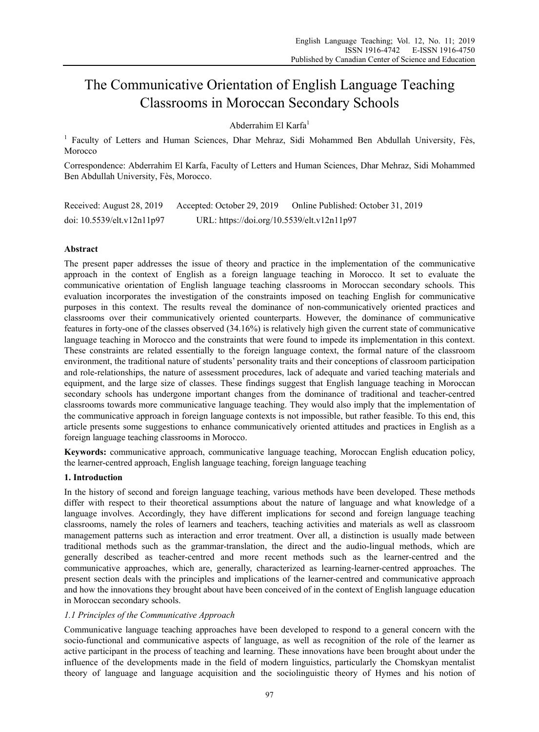# The Communicative Orientation of English Language Teaching Classrooms in Moroccan Secondary Schools

Abderrahim El Karfa<sup>1</sup>

<sup>1</sup> Faculty of Letters and Human Sciences, Dhar Mehraz, Sidi Mohammed Ben Abdullah University, Fès, Morocco

Correspondence: Abderrahim El Karfa, Faculty of Letters and Human Sciences, Dhar Mehraz, Sidi Mohammed Ben Abdullah University, Fès, Morocco.

| Received: August 28, 2019        | Accepted: October 29, 2019                 | Online Published: October 31, 2019 |
|----------------------------------|--------------------------------------------|------------------------------------|
| doi: $10.5539$ /elt.v $12n11p97$ | URL: https://doi.org/10.5539/elt.v12n11p97 |                                    |

## **Abstract**

The present paper addresses the issue of theory and practice in the implementation of the communicative approach in the context of English as a foreign language teaching in Morocco. It set to evaluate the communicative orientation of English language teaching classrooms in Moroccan secondary schools. This evaluation incorporates the investigation of the constraints imposed on teaching English for communicative purposes in this context. The results reveal the dominance of non-communicatively oriented practices and classrooms over their communicatively oriented counterparts. However, the dominance of communicative features in forty-one of the classes observed (34.16%) is relatively high given the current state of communicative language teaching in Morocco and the constraints that were found to impede its implementation in this context. These constraints are related essentially to the foreign language context, the formal nature of the classroom environment, the traditional nature of students' personality traits and their conceptions of classroom participation and role-relationships, the nature of assessment procedures, lack of adequate and varied teaching materials and equipment, and the large size of classes. These findings suggest that English language teaching in Moroccan secondary schools has undergone important changes from the dominance of traditional and teacher-centred classrooms towards more communicative language teaching. They would also imply that the implementation of the communicative approach in foreign language contexts is not impossible, but rather feasible. To this end, this article presents some suggestions to enhance communicatively oriented attitudes and practices in English as a foreign language teaching classrooms in Morocco.

**Keywords:** communicative approach, communicative language teaching, Moroccan English education policy, the learner-centred approach, English language teaching, foreign language teaching

## **1. Introduction**

In the history of second and foreign language teaching, various methods have been developed. These methods differ with respect to their theoretical assumptions about the nature of language and what knowledge of a language involves. Accordingly, they have different implications for second and foreign language teaching classrooms, namely the roles of learners and teachers, teaching activities and materials as well as classroom management patterns such as interaction and error treatment. Over all, a distinction is usually made between traditional methods such as the grammar-translation, the direct and the audio-lingual methods, which are generally described as teacher-centred and more recent methods such as the learner-centred and the communicative approaches, which are, generally, characterized as learning-learner-centred approaches. The present section deals with the principles and implications of the learner-centred and communicative approach and how the innovations they brought about have been conceived of in the context of English language education in Moroccan secondary schools.

# *1.1 Principles of the Communicative Approach*

Communicative language teaching approaches have been developed to respond to a general concern with the socio-functional and communicative aspects of language, as well as recognition of the role of the learner as active participant in the process of teaching and learning. These innovations have been brought about under the influence of the developments made in the field of modern linguistics, particularly the Chomskyan mentalist theory of language and language acquisition and the sociolinguistic theory of Hymes and his notion of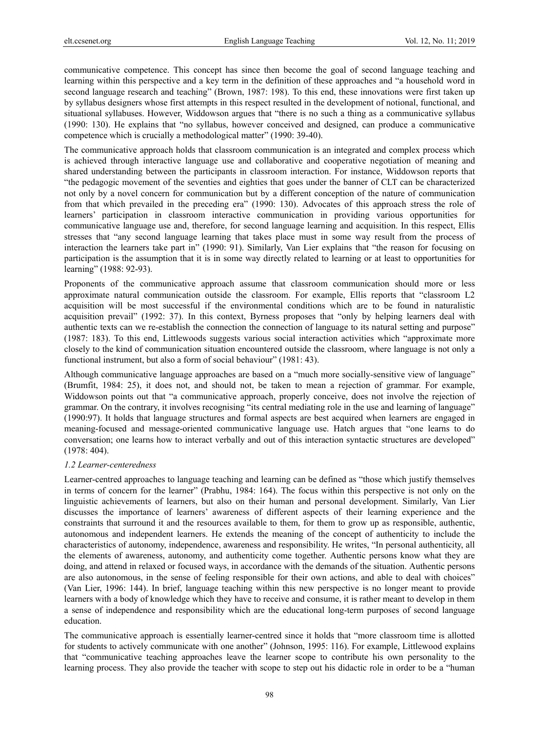communicative competence. This concept has since then become the goal of second language teaching and learning within this perspective and a key term in the definition of these approaches and "a household word in second language research and teaching" (Brown, 1987: 198). To this end, these innovations were first taken up by syllabus designers whose first attempts in this respect resulted in the development of notional, functional, and situational syllabuses. However, Widdowson argues that "there is no such a thing as a communicative syllabus (1990: 130). He explains that "no syllabus, however conceived and designed, can produce a communicative competence which is crucially a methodological matter" (1990: 39-40).

The communicative approach holds that classroom communication is an integrated and complex process which is achieved through interactive language use and collaborative and cooperative negotiation of meaning and shared understanding between the participants in classroom interaction. For instance, Widdowson reports that "the pedagogic movement of the seventies and eighties that goes under the banner of CLT can be characterized not only by a novel concern for communication but by a different conception of the nature of communication from that which prevailed in the preceding era" (1990: 130). Advocates of this approach stress the role of learners' participation in classroom interactive communication in providing various opportunities for communicative language use and, therefore, for second language learning and acquisition. In this respect, Ellis stresses that "any second language learning that takes place must in some way result from the process of interaction the learners take part in" (1990: 91). Similarly, Van Lier explains that "the reason for focusing on participation is the assumption that it is in some way directly related to learning or at least to opportunities for learning" (1988: 92-93).

Proponents of the communicative approach assume that classroom communication should more or less approximate natural communication outside the classroom. For example, Ellis reports that "classroom L2 acquisition will be most successful if the environmental conditions which are to be found in naturalistic acquisition prevail" (1992: 37). In this context, Byrness proposes that "only by helping learners deal with authentic texts can we re-establish the connection the connection of language to its natural setting and purpose" (1987: 183). To this end, Littlewoods suggests various social interaction activities which "approximate more closely to the kind of communication situation encountered outside the classroom, where language is not only a functional instrument, but also a form of social behaviour" (1981: 43).

Although communicative language approaches are based on a "much more socially-sensitive view of language" (Brumfit, 1984: 25), it does not, and should not, be taken to mean a rejection of grammar. For example, Widdowson points out that "a communicative approach, properly conceive, does not involve the rejection of grammar. On the contrary, it involves recognising "its central mediating role in the use and learning of language" (1990:97). It holds that language structures and formal aspects are best acquired when learners are engaged in meaning-focused and message-oriented communicative language use. Hatch argues that "one learns to do conversation; one learns how to interact verbally and out of this interaction syntactic structures are developed" (1978: 404).

## *1.2 Learner-centeredness*

Learner-centred approaches to language teaching and learning can be defined as "those which justify themselves in terms of concern for the learner" (Prabhu, 1984: 164). The focus within this perspective is not only on the linguistic achievements of learners, but also on their human and personal development. Similarly, Van Lier discusses the importance of learners' awareness of different aspects of their learning experience and the constraints that surround it and the resources available to them, for them to grow up as responsible, authentic, autonomous and independent learners. He extends the meaning of the concept of authenticity to include the characteristics of autonomy, independence, awareness and responsibility. He writes, "In personal authenticity, all the elements of awareness, autonomy, and authenticity come together. Authentic persons know what they are doing, and attend in relaxed or focused ways, in accordance with the demands of the situation. Authentic persons are also autonomous, in the sense of feeling responsible for their own actions, and able to deal with choices" (Van Lier, 1996: 144). In brief, language teaching within this new perspective is no longer meant to provide learners with a body of knowledge which they have to receive and consume, it is rather meant to develop in them a sense of independence and responsibility which are the educational long-term purposes of second language education.

The communicative approach is essentially learner-centred since it holds that "more classroom time is allotted for students to actively communicate with one another" (Johnson, 1995: 116). For example, Littlewood explains that "communicative teaching approaches leave the learner scope to contribute his own personality to the learning process. They also provide the teacher with scope to step out his didactic role in order to be a "human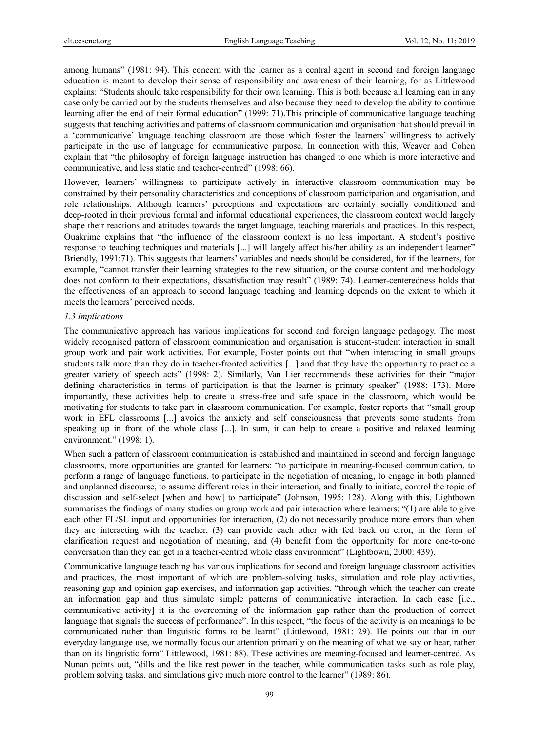among humans" (1981: 94). This concern with the learner as a central agent in second and foreign language education is meant to develop their sense of responsibility and awareness of their learning, for as Littlewood explains: "Students should take responsibility for their own learning. This is both because all learning can in any case only be carried out by the students themselves and also because they need to develop the ability to continue learning after the end of their formal education" (1999: 71).This principle of communicative language teaching suggests that teaching activities and patterns of classroom communication and organisation that should prevail in a 'communicative' language teaching classroom are those which foster the learners' willingness to actively participate in the use of language for communicative purpose. In connection with this, Weaver and Cohen explain that "the philosophy of foreign language instruction has changed to one which is more interactive and communicative, and less static and teacher-centred" (1998: 66).

However, learners' willingness to participate actively in interactive classroom communication may be constrained by their personality characteristics and conceptions of classroom participation and organisation, and role relationships. Although learners' perceptions and expectations are certainly socially conditioned and deep-rooted in their previous formal and informal educational experiences, the classroom context would largely shape their reactions and attitudes towards the target language, teaching materials and practices. In this respect, Ouakrime explains that "the influence of the classroom context is no less important. A student's positive response to teaching techniques and materials [...] will largely affect his/her ability as an independent learner" Briendly, 1991:71). This suggests that learners' variables and needs should be considered, for if the learners, for example, "cannot transfer their learning strategies to the new situation, or the course content and methodology does not conform to their expectations, dissatisfaction may result" (1989: 74). Learner-centeredness holds that the effectiveness of an approach to second language teaching and learning depends on the extent to which it meets the learners' perceived needs.

#### *1.3 Implications*

The communicative approach has various implications for second and foreign language pedagogy. The most widely recognised pattern of classroom communication and organisation is student-student interaction in small group work and pair work activities. For example, Foster points out that "when interacting in small groups students talk more than they do in teacher-fronted activities [...] and that they have the opportunity to practice a greater variety of speech acts" (1998: 2). Similarly, Van Lier recommends these activities for their "major defining characteristics in terms of participation is that the learner is primary speaker" (1988: 173). More importantly, these activities help to create a stress-free and safe space in the classroom, which would be motivating for students to take part in classroom communication. For example, foster reports that "small group work in EFL classrooms [...] avoids the anxiety and self consciousness that prevents some students from speaking up in front of the whole class [...]. In sum, it can help to create a positive and relaxed learning environment." (1998: 1).

When such a pattern of classroom communication is established and maintained in second and foreign language classrooms, more opportunities are granted for learners: "to participate in meaning-focused communication, to perform a range of language functions, to participate in the negotiation of meaning, to engage in both planned and unplanned discourse, to assume different roles in their interaction, and finally to initiate, control the topic of discussion and self-select [when and how] to participate" (Johnson, 1995: 128). Along with this, Lightbown summarises the findings of many studies on group work and pair interaction where learners: "(1) are able to give each other FL/SL input and opportunities for interaction, (2) do not necessarily produce more errors than when they are interacting with the teacher, (3) can provide each other with fed back on error, in the form of clarification request and negotiation of meaning, and (4) benefit from the opportunity for more one-to-one conversation than they can get in a teacher-centred whole class environment" (Lightbown, 2000: 439).

Communicative language teaching has various implications for second and foreign language classroom activities and practices, the most important of which are problem-solving tasks, simulation and role play activities, reasoning gap and opinion gap exercises, and information gap activities, "through which the teacher can create an information gap and thus simulate simple patterns of communicative interaction. In each case [i.e., communicative activity] it is the overcoming of the information gap rather than the production of correct language that signals the success of performance". In this respect, "the focus of the activity is on meanings to be communicated rather than linguistic forms to be learnt" (Littlewood, 1981: 29). He points out that in our everyday language use, we normally focus our attention primarily on the meaning of what we say or hear, rather than on its linguistic form" Littlewood, 1981: 88). These activities are meaning-focused and learner-centred. As Nunan points out, "dills and the like rest power in the teacher, while communication tasks such as role play, problem solving tasks, and simulations give much more control to the learner" (1989: 86).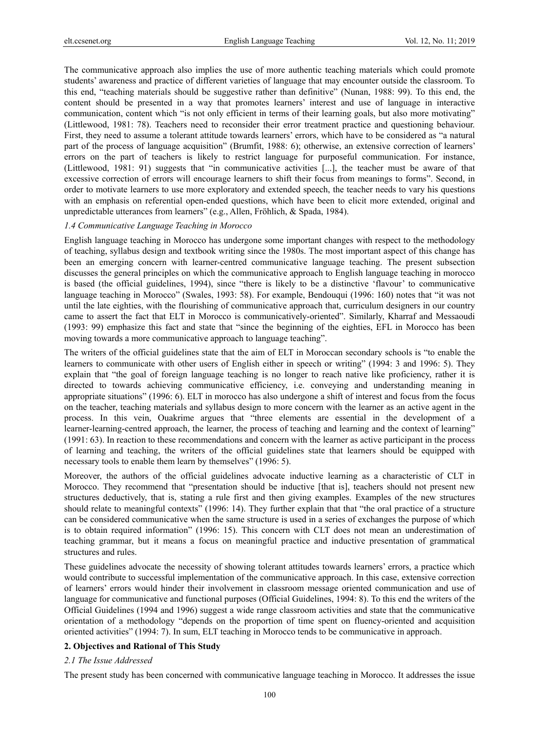The communicative approach also implies the use of more authentic teaching materials which could promote students' awareness and practice of different varieties of language that may encounter outside the classroom. To this end, "teaching materials should be suggestive rather than definitive" (Nunan, 1988: 99). To this end, the content should be presented in a way that promotes learners' interest and use of language in interactive communication, content which "is not only efficient in terms of their learning goals, but also more motivating" (Littlewood, 1981: 78). Teachers need to reconsider their error treatment practice and questioning behaviour. First, they need to assume a tolerant attitude towards learners' errors, which have to be considered as "a natural part of the process of language acquisition" (Brumfit, 1988: 6); otherwise, an extensive correction of learners' errors on the part of teachers is likely to restrict language for purposeful communication. For instance, (Littlewood, 1981: 91) suggests that "in communicative activities [...], the teacher must be aware of that excessive correction of errors will encourage learners to shift their focus from meanings to forms". Second, in order to motivate learners to use more exploratory and extended speech, the teacher needs to vary his questions with an emphasis on referential open-ended questions, which have been to elicit more extended, original and unpredictable utterances from learners" (e.g., Allen, Fröhlich, & Spada, 1984).

#### *1.4 Communicative Language Teaching in Morocco*

English language teaching in Morocco has undergone some important changes with respect to the methodology of teaching, syllabus design and textbook writing since the 1980s. The most important aspect of this change has been an emerging concern with learner-centred communicative language teaching. The present subsection discusses the general principles on which the communicative approach to English language teaching in morocco is based (the official guidelines, 1994), since "there is likely to be a distinctive 'flavour' to communicative language teaching in Morocco" (Swales, 1993: 58). For example, Bendouqui (1996: 160) notes that "it was not until the late eighties, with the flourishing of communicative approach that, curriculum designers in our country came to assert the fact that ELT in Morocco is communicatively-oriented". Similarly, Kharraf and Messaoudi (1993: 99) emphasize this fact and state that "since the beginning of the eighties, EFL in Morocco has been moving towards a more communicative approach to language teaching".

The writers of the official guidelines state that the aim of ELT in Moroccan secondary schools is "to enable the learners to communicate with other users of English either in speech or writing" (1994: 3 and 1996: 5). They explain that "the goal of foreign language teaching is no longer to reach native like proficiency, rather it is directed to towards achieving communicative efficiency, i.e. conveying and understanding meaning in appropriate situations" (1996: 6). ELT in morocco has also undergone a shift of interest and focus from the focus on the teacher, teaching materials and syllabus design to more concern with the learner as an active agent in the process. In this vein, Ouakrime argues that "three elements are essential in the development of a learner-learning-centred approach, the learner, the process of teaching and learning and the context of learning" (1991: 63). In reaction to these recommendations and concern with the learner as active participant in the process of learning and teaching, the writers of the official guidelines state that learners should be equipped with necessary tools to enable them learn by themselves" (1996: 5).

Moreover, the authors of the official guidelines advocate inductive learning as a characteristic of CLT in Morocco. They recommend that "presentation should be inductive [that is], teachers should not present new structures deductively, that is, stating a rule first and then giving examples. Examples of the new structures should relate to meaningful contexts" (1996: 14). They further explain that that "the oral practice of a structure can be considered communicative when the same structure is used in a series of exchanges the purpose of which is to obtain required information" (1996: 15). This concern with CLT does not mean an underestimation of teaching grammar, but it means a focus on meaningful practice and inductive presentation of grammatical structures and rules.

These guidelines advocate the necessity of showing tolerant attitudes towards learners' errors, a practice which would contribute to successful implementation of the communicative approach. In this case, extensive correction of learners' errors would hinder their involvement in classroom message oriented communication and use of language for communicative and functional purposes (Official Guidelines, 1994: 8). To this end the writers of the Official Guidelines (1994 and 1996) suggest a wide range classroom activities and state that the communicative orientation of a methodology "depends on the proportion of time spent on fluency-oriented and acquisition oriented activities" (1994: 7). In sum, ELT teaching in Morocco tends to be communicative in approach.

#### **2. Objectives and Rational of This Study**

#### *2.1 The Issue Addressed*

The present study has been concerned with communicative language teaching in Morocco. It addresses the issue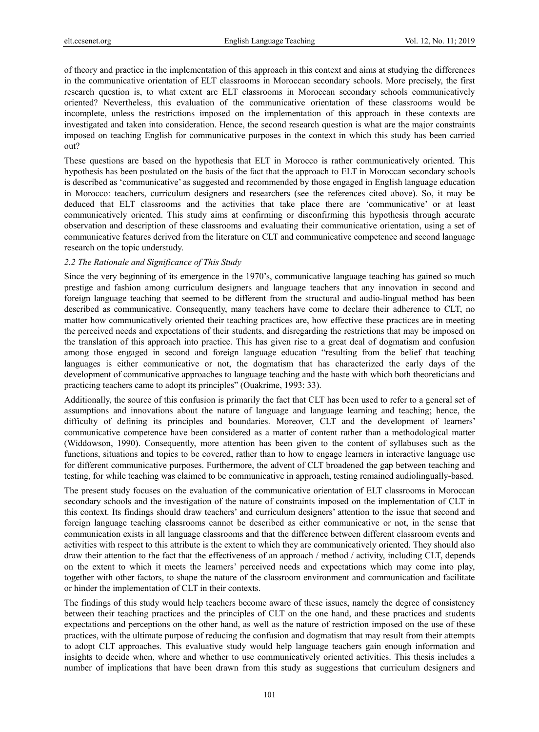of theory and practice in the implementation of this approach in this context and aims at studying the differences in the communicative orientation of ELT classrooms in Moroccan secondary schools. More precisely, the first research question is, to what extent are ELT classrooms in Moroccan secondary schools communicatively oriented? Nevertheless, this evaluation of the communicative orientation of these classrooms would be incomplete, unless the restrictions imposed on the implementation of this approach in these contexts are investigated and taken into consideration. Hence, the second research question is what are the major constraints imposed on teaching English for communicative purposes in the context in which this study has been carried out?

These questions are based on the hypothesis that ELT in Morocco is rather communicatively oriented. This hypothesis has been postulated on the basis of the fact that the approach to ELT in Moroccan secondary schools is described as 'communicative' as suggested and recommended by those engaged in English language education in Morocco: teachers, curriculum designers and researchers (see the references cited above). So, it may be deduced that ELT classrooms and the activities that take place there are 'communicative' or at least communicatively oriented. This study aims at confirming or disconfirming this hypothesis through accurate observation and description of these classrooms and evaluating their communicative orientation, using a set of communicative features derived from the literature on CLT and communicative competence and second language research on the topic understudy.

#### *2.2 The Rationale and Significance of This Study*

Since the very beginning of its emergence in the 1970's, communicative language teaching has gained so much prestige and fashion among curriculum designers and language teachers that any innovation in second and foreign language teaching that seemed to be different from the structural and audio-lingual method has been described as communicative. Consequently, many teachers have come to declare their adherence to CLT, no matter how communicatively oriented their teaching practices are, how effective these practices are in meeting the perceived needs and expectations of their students, and disregarding the restrictions that may be imposed on the translation of this approach into practice. This has given rise to a great deal of dogmatism and confusion among those engaged in second and foreign language education "resulting from the belief that teaching languages is either communicative or not, the dogmatism that has characterized the early days of the development of communicative approaches to language teaching and the haste with which both theoreticians and practicing teachers came to adopt its principles" (Ouakrime, 1993: 33).

Additionally, the source of this confusion is primarily the fact that CLT has been used to refer to a general set of assumptions and innovations about the nature of language and language learning and teaching; hence, the difficulty of defining its principles and boundaries. Moreover, CLT and the development of learners' communicative competence have been considered as a matter of content rather than a methodological matter (Widdowson, 1990). Consequently, more attention has been given to the content of syllabuses such as the functions, situations and topics to be covered, rather than to how to engage learners in interactive language use for different communicative purposes. Furthermore, the advent of CLT broadened the gap between teaching and testing, for while teaching was claimed to be communicative in approach, testing remained audiolingually-based.

The present study focuses on the evaluation of the communicative orientation of ELT classrooms in Moroccan secondary schools and the investigation of the nature of constraints imposed on the implementation of CLT in this context. Its findings should draw teachers' and curriculum designers' attention to the issue that second and foreign language teaching classrooms cannot be described as either communicative or not, in the sense that communication exists in all language classrooms and that the difference between different classroom events and activities with respect to this attribute is the extent to which they are communicatively oriented. They should also draw their attention to the fact that the effectiveness of an approach / method / activity, including CLT, depends on the extent to which it meets the learners' perceived needs and expectations which may come into play, together with other factors, to shape the nature of the classroom environment and communication and facilitate or hinder the implementation of CLT in their contexts.

The findings of this study would help teachers become aware of these issues, namely the degree of consistency between their teaching practices and the principles of CLT on the one hand, and these practices and students expectations and perceptions on the other hand, as well as the nature of restriction imposed on the use of these practices, with the ultimate purpose of reducing the confusion and dogmatism that may result from their attempts to adopt CLT approaches. This evaluative study would help language teachers gain enough information and insights to decide when, where and whether to use communicatively oriented activities. This thesis includes a number of implications that have been drawn from this study as suggestions that curriculum designers and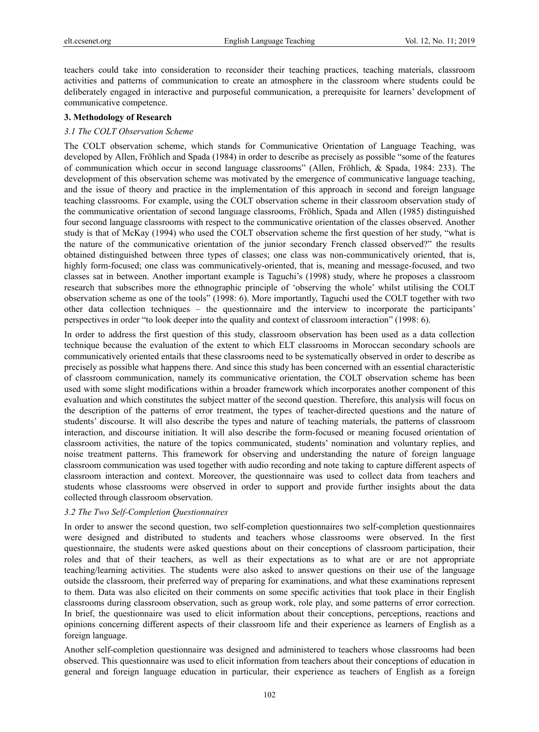teachers could take into consideration to reconsider their teaching practices, teaching materials, classroom activities and patterns of communication to create an atmosphere in the classroom where students could be deliberately engaged in interactive and purposeful communication, a prerequisite for learners' development of communicative competence.

#### **3. Methodology of Research**

#### *3.1 The COLT Observation Scheme*

The COLT observation scheme, which stands for Communicative Orientation of Language Teaching, was developed by Allen, Fröhlich and Spada (1984) in order to describe as precisely as possible "some of the features of communication which occur in second language classrooms" (Allen, Fröhlich, & Spada, 1984: 233). The development of this observation scheme was motivated by the emergence of communicative language teaching, and the issue of theory and practice in the implementation of this approach in second and foreign language teaching classrooms. For example, using the COLT observation scheme in their classroom observation study of the communicative orientation of second language classrooms, Fröhlich, Spada and Allen (1985) distinguished four second language classrooms with respect to the communicative orientation of the classes observed. Another study is that of McKay (1994) who used the COLT observation scheme the first question of her study, "what is the nature of the communicative orientation of the junior secondary French classed observed?" the results obtained distinguished between three types of classes; one class was non-communicatively oriented, that is, highly form-focused; one class was communicatively-oriented, that is, meaning and message-focused, and two classes sat in between. Another important example is Taguchi's (1998) study, where he proposes a classroom research that subscribes more the ethnographic principle of 'observing the whole' whilst utilising the COLT observation scheme as one of the tools" (1998: 6). More importantly, Taguchi used the COLT together with two other data collection techniques – the questionnaire and the interview to incorporate the participants' perspectives in order "to look deeper into the quality and context of classroom interaction" (1998: 6).

In order to address the first question of this study, classroom observation has been used as a data collection technique because the evaluation of the extent to which ELT classrooms in Moroccan secondary schools are communicatively oriented entails that these classrooms need to be systematically observed in order to describe as precisely as possible what happens there. And since this study has been concerned with an essential characteristic of classroom communication, namely its communicative orientation, the COLT observation scheme has been used with some slight modifications within a broader framework which incorporates another component of this evaluation and which constitutes the subject matter of the second question. Therefore, this analysis will focus on the description of the patterns of error treatment, the types of teacher-directed questions and the nature of students' discourse. It will also describe the types and nature of teaching materials, the patterns of classroom interaction, and discourse initiation. It will also describe the form-focused or meaning focused orientation of classroom activities, the nature of the topics communicated, students' nomination and voluntary replies, and noise treatment patterns. This framework for observing and understanding the nature of foreign language classroom communication was used together with audio recording and note taking to capture different aspects of classroom interaction and context. Moreover, the questionnaire was used to collect data from teachers and students whose classrooms were observed in order to support and provide further insights about the data collected through classroom observation.

## *3.2 The Two Self-Completion Questionnaires*

In order to answer the second question, two self-completion questionnaires two self-completion questionnaires were designed and distributed to students and teachers whose classrooms were observed. In the first questionnaire, the students were asked questions about on their conceptions of classroom participation, their roles and that of their teachers, as well as their expectations as to what are or are not appropriate teaching/learning activities. The students were also asked to answer questions on their use of the language outside the classroom, their preferred way of preparing for examinations, and what these examinations represent to them. Data was also elicited on their comments on some specific activities that took place in their English classrooms during classroom observation, such as group work, role play, and some patterns of error correction. In brief, the questionnaire was used to elicit information about their conceptions, perceptions, reactions and opinions concerning different aspects of their classroom life and their experience as learners of English as a foreign language.

Another self-completion questionnaire was designed and administered to teachers whose classrooms had been observed. This questionnaire was used to elicit information from teachers about their conceptions of education in general and foreign language education in particular, their experience as teachers of English as a foreign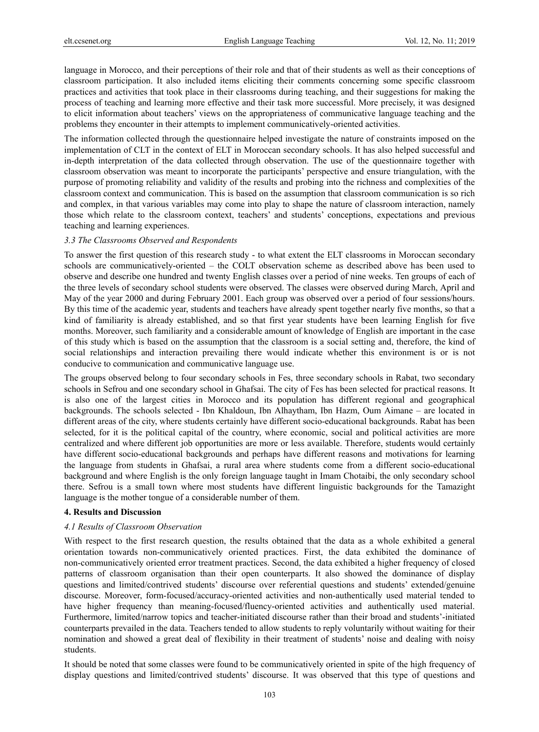language in Morocco, and their perceptions of their role and that of their students as well as their conceptions of classroom participation. It also included items eliciting their comments concerning some specific classroom practices and activities that took place in their classrooms during teaching, and their suggestions for making the process of teaching and learning more effective and their task more successful. More precisely, it was designed to elicit information about teachers' views on the appropriateness of communicative language teaching and the problems they encounter in their attempts to implement communicatively-oriented activities.

The information collected through the questionnaire helped investigate the nature of constraints imposed on the implementation of CLT in the context of ELT in Moroccan secondary schools. It has also helped successful and in-depth interpretation of the data collected through observation. The use of the questionnaire together with classroom observation was meant to incorporate the participants' perspective and ensure triangulation, with the purpose of promoting reliability and validity of the results and probing into the richness and complexities of the classroom context and communication. This is based on the assumption that classroom communication is so rich and complex, in that various variables may come into play to shape the nature of classroom interaction, namely those which relate to the classroom context, teachers' and students' conceptions, expectations and previous teaching and learning experiences.

#### *3.3 The Classrooms Observed and Respondents*

To answer the first question of this research study - to what extent the ELT classrooms in Moroccan secondary schools are communicatively-oriented – the COLT observation scheme as described above has been used to observe and describe one hundred and twenty English classes over a period of nine weeks. Ten groups of each of the three levels of secondary school students were observed. The classes were observed during March, April and May of the year 2000 and during February 2001. Each group was observed over a period of four sessions/hours. By this time of the academic year, students and teachers have already spent together nearly five months, so that a kind of familiarity is already established, and so that first year students have been learning English for five months. Moreover, such familiarity and a considerable amount of knowledge of English are important in the case of this study which is based on the assumption that the classroom is a social setting and, therefore, the kind of social relationships and interaction prevailing there would indicate whether this environment is or is not conducive to communication and communicative language use.

The groups observed belong to four secondary schools in Fes, three secondary schools in Rabat, two secondary schools in Sefrou and one secondary school in Ghafsai. The city of Fes has been selected for practical reasons. It is also one of the largest cities in Morocco and its population has different regional and geographical backgrounds. The schools selected - Ibn Khaldoun, Ibn Alhaytham, Ibn Hazm, Oum Aimane – are located in different areas of the city, where students certainly have different socio-educational backgrounds. Rabat has been selected, for it is the political capital of the country, where economic, social and political activities are more centralized and where different job opportunities are more or less available. Therefore, students would certainly have different socio-educational backgrounds and perhaps have different reasons and motivations for learning the language from students in Ghafsai, a rural area where students come from a different socio-educational background and where English is the only foreign language taught in Imam Chotaibi, the only secondary school there. Sefrou is a small town where most students have different linguistic backgrounds for the Tamazight language is the mother tongue of a considerable number of them.

#### **4. Results and Discussion**

#### *4.1 Results of Classroom Observation*

With respect to the first research question, the results obtained that the data as a whole exhibited a general orientation towards non-communicatively oriented practices. First, the data exhibited the dominance of non-communicatively oriented error treatment practices. Second, the data exhibited a higher frequency of closed patterns of classroom organisation than their open counterparts. It also showed the dominance of display questions and limited/contrived students' discourse over referential questions and students' extended/genuine discourse. Moreover, form-focused/accuracy-oriented activities and non-authentically used material tended to have higher frequency than meaning-focused/fluency-oriented activities and authentically used material. Furthermore, limited/narrow topics and teacher-initiated discourse rather than their broad and students'-initiated counterparts prevailed in the data. Teachers tended to allow students to reply voluntarily without waiting for their nomination and showed a great deal of flexibility in their treatment of students' noise and dealing with noisy students.

It should be noted that some classes were found to be communicatively oriented in spite of the high frequency of display questions and limited/contrived students' discourse. It was observed that this type of questions and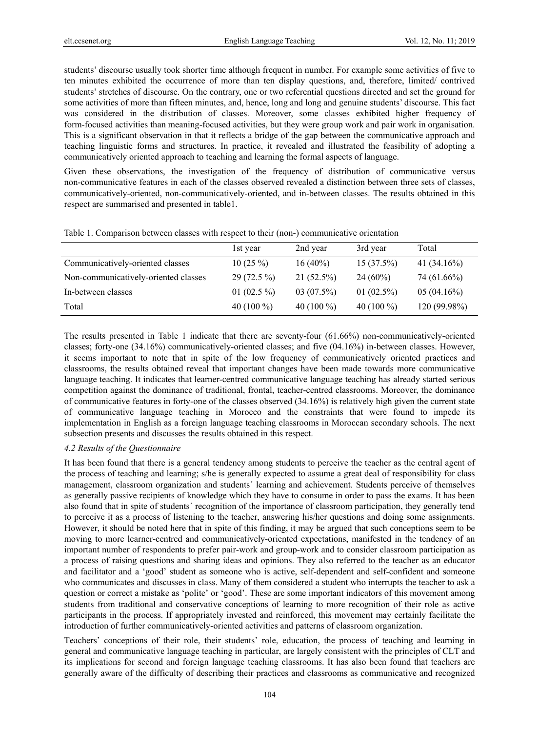students' discourse usually took shorter time although frequent in number. For example some activities of five to ten minutes exhibited the occurrence of more than ten display questions, and, therefore, limited/ contrived students' stretches of discourse. On the contrary, one or two referential questions directed and set the ground for some activities of more than fifteen minutes, and, hence, long and long and genuine students' discourse. This fact was considered in the distribution of classes. Moreover, some classes exhibited higher frequency of form-focused activities than meaning-focused activities, but they were group work and pair work in organisation. This is a significant observation in that it reflects a bridge of the gap between the communicative approach and teaching linguistic forms and structures. In practice, it revealed and illustrated the feasibility of adopting a communicatively oriented approach to teaching and learning the formal aspects of language.

Given these observations, the investigation of the frequency of distribution of communicative versus non-communicative features in each of the classes observed revealed a distinction between three sets of classes, communicatively-oriented, non-communicatively-oriented, and in-between classes. The results obtained in this respect are summarised and presented in table1.

|                                      | 1st year      | 2nd year     | 3rd year      | Total          |
|--------------------------------------|---------------|--------------|---------------|----------------|
| Communicatively-oriented classes     | $10(25\%)$    | $16(40\%)$   | $15(37.5\%)$  | 41 $(34.16\%)$ |
| Non-communicatively-oriented classes | $29(72.5\%)$  | $21(52.5\%)$ | $24(60\%)$    | 74 (61.66%)    |
| In-between classes                   | 01 $(02.5\%)$ | $03(07.5\%)$ | 01 $(02.5\%)$ | 05(04.16%)     |
| Total                                | 40 $(100\%$   | 40 $(100\%)$ | 40 $(100\%$   | 120 (99.98%)   |

Table 1. Comparison between classes with respect to their (non-) communicative orientation

The results presented in Table 1 indicate that there are seventy-four (61.66%) non-communicatively-oriented classes; forty-one (34.16%) communicatively-oriented classes; and five (04.16%) in-between classes. However, it seems important to note that in spite of the low frequency of communicatively oriented practices and classrooms, the results obtained reveal that important changes have been made towards more communicative language teaching. It indicates that learner-centred communicative language teaching has already started serious competition against the dominance of traditional, frontal, teacher-centred classrooms. Moreover, the dominance of communicative features in forty-one of the classes observed (34.16%) is relatively high given the current state of communicative language teaching in Morocco and the constraints that were found to impede its implementation in English as a foreign language teaching classrooms in Moroccan secondary schools. The next subsection presents and discusses the results obtained in this respect.

#### *4.2 Results of the Questionnaire*

It has been found that there is a general tendency among students to perceive the teacher as the central agent of the process of teaching and learning; s/he is generally expected to assume a great deal of responsibility for class management, classroom organization and students´ learning and achievement. Students perceive of themselves as generally passive recipients of knowledge which they have to consume in order to pass the exams. It has been also found that in spite of students´ recognition of the importance of classroom participation, they generally tend to perceive it as a process of listening to the teacher, answering his/her questions and doing some assignments. However, it should be noted here that in spite of this finding, it may be argued that such conceptions seem to be moving to more learner-centred and communicatively-oriented expectations, manifested in the tendency of an important number of respondents to prefer pair-work and group-work and to consider classroom participation as a process of raising questions and sharing ideas and opinions. They also referred to the teacher as an educator and facilitator and a 'good' student as someone who is active, self-dependent and self-confident and someone who communicates and discusses in class. Many of them considered a student who interrupts the teacher to ask a question or correct a mistake as 'polite' or 'good'. These are some important indicators of this movement among students from traditional and conservative conceptions of learning to more recognition of their role as active participants in the process. If appropriately invested and reinforced, this movement may certainly facilitate the introduction of further communicatively-oriented activities and patterns of classroom organization.

Teachers' conceptions of their role, their students' role, education, the process of teaching and learning in general and communicative language teaching in particular, are largely consistent with the principles of CLT and its implications for second and foreign language teaching classrooms. It has also been found that teachers are generally aware of the difficulty of describing their practices and classrooms as communicative and recognized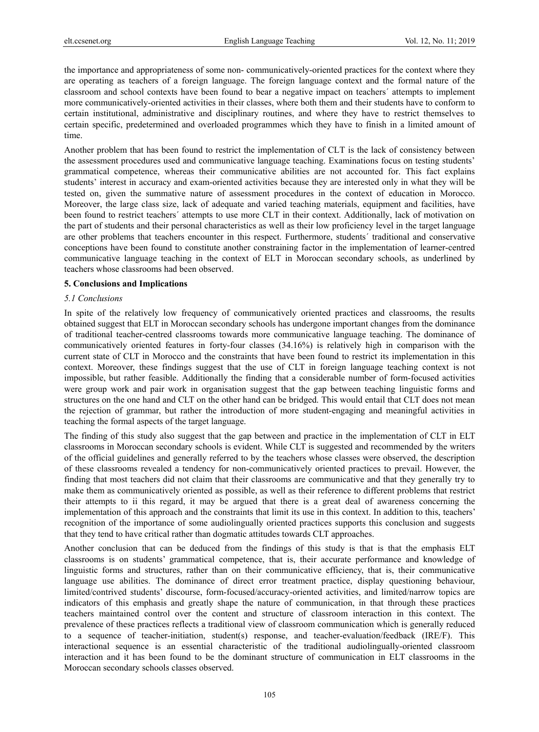the importance and appropriateness of some non- communicatively-oriented practices for the context where they are operating as teachers of a foreign language. The foreign language context and the formal nature of the classroom and school contexts have been found to bear a negative impact on teachers´ attempts to implement more communicatively-oriented activities in their classes, where both them and their students have to conform to certain institutional, administrative and disciplinary routines, and where they have to restrict themselves to certain specific, predetermined and overloaded programmes which they have to finish in a limited amount of time.

Another problem that has been found to restrict the implementation of CLT is the lack of consistency between the assessment procedures used and communicative language teaching. Examinations focus on testing students' grammatical competence, whereas their communicative abilities are not accounted for. This fact explains students' interest in accuracy and exam-oriented activities because they are interested only in what they will be tested on, given the summative nature of assessment procedures in the context of education in Morocco. Moreover, the large class size, lack of adequate and varied teaching materials, equipment and facilities, have been found to restrict teachers´ attempts to use more CLT in their context. Additionally, lack of motivation on the part of students and their personal characteristics as well as their low proficiency level in the target language are other problems that teachers encounter in this respect. Furthermore, students´ traditional and conservative conceptions have been found to constitute another constraining factor in the implementation of learner-centred communicative language teaching in the context of ELT in Moroccan secondary schools, as underlined by teachers whose classrooms had been observed.

#### **5. Conclusions and Implications**

#### *5.1 Conclusions*

In spite of the relatively low frequency of communicatively oriented practices and classrooms, the results obtained suggest that ELT in Moroccan secondary schools has undergone important changes from the dominance of traditional teacher-centred classrooms towards more communicative language teaching. The dominance of communicatively oriented features in forty-four classes (34.16%) is relatively high in comparison with the current state of CLT in Morocco and the constraints that have been found to restrict its implementation in this context. Moreover, these findings suggest that the use of CLT in foreign language teaching context is not impossible, but rather feasible. Additionally the finding that a considerable number of form-focused activities were group work and pair work in organisation suggest that the gap between teaching linguistic forms and structures on the one hand and CLT on the other hand can be bridged. This would entail that CLT does not mean the rejection of grammar, but rather the introduction of more student-engaging and meaningful activities in teaching the formal aspects of the target language.

The finding of this study also suggest that the gap between and practice in the implementation of CLT in ELT classrooms in Moroccan secondary schools is evident. While CLT is suggested and recommended by the writers of the official guidelines and generally referred to by the teachers whose classes were observed, the description of these classrooms revealed a tendency for non-communicatively oriented practices to prevail. However, the finding that most teachers did not claim that their classrooms are communicative and that they generally try to make them as communicatively oriented as possible, as well as their reference to different problems that restrict their attempts to ii this regard, it may be argued that there is a great deal of awareness concerning the implementation of this approach and the constraints that limit its use in this context. In addition to this, teachers' recognition of the importance of some audiolingually oriented practices supports this conclusion and suggests that they tend to have critical rather than dogmatic attitudes towards CLT approaches.

Another conclusion that can be deduced from the findings of this study is that is that the emphasis ELT classrooms is on students' grammatical competence, that is, their accurate performance and knowledge of linguistic forms and structures, rather than on their communicative efficiency, that is, their communicative language use abilities. The dominance of direct error treatment practice, display questioning behaviour, limited/contrived students' discourse, form-focused/accuracy-oriented activities, and limited/narrow topics are indicators of this emphasis and greatly shape the nature of communication, in that through these practices teachers maintained control over the content and structure of classroom interaction in this context. The prevalence of these practices reflects a traditional view of classroom communication which is generally reduced to a sequence of teacher-initiation, student(s) response, and teacher-evaluation/feedback (IRE/F). This interactional sequence is an essential characteristic of the traditional audiolingually-oriented classroom interaction and it has been found to be the dominant structure of communication in ELT classrooms in the Moroccan secondary schools classes observed.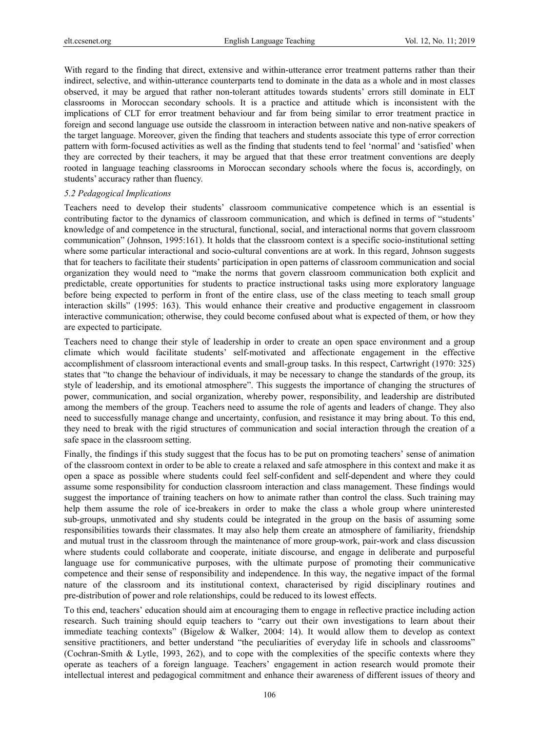With regard to the finding that direct, extensive and within-utterance error treatment patterns rather than their indirect, selective, and within-utterance counterparts tend to dominate in the data as a whole and in most classes observed, it may be argued that rather non-tolerant attitudes towards students' errors still dominate in ELT classrooms in Moroccan secondary schools. It is a practice and attitude which is inconsistent with the implications of CLT for error treatment behaviour and far from being similar to error treatment practice in foreign and second language use outside the classroom in interaction between native and non-native speakers of the target language. Moreover, given the finding that teachers and students associate this type of error correction pattern with form-focused activities as well as the finding that students tend to feel 'normal' and 'satisfied' when they are corrected by their teachers, it may be argued that that these error treatment conventions are deeply rooted in language teaching classrooms in Moroccan secondary schools where the focus is, accordingly, on students' accuracy rather than fluency.

#### *5.2 Pedagogical Implications*

Teachers need to develop their students' classroom communicative competence which is an essential is contributing factor to the dynamics of classroom communication, and which is defined in terms of "students' knowledge of and competence in the structural, functional, social, and interactional norms that govern classroom communication" (Johnson, 1995:161). It holds that the classroom context is a specific socio-institutional setting where some particular interactional and socio-cultural conventions are at work. In this regard, Johnson suggests that for teachers to facilitate their students' participation in open patterns of classroom communication and social organization they would need to "make the norms that govern classroom communication both explicit and predictable, create opportunities for students to practice instructional tasks using more exploratory language before being expected to perform in front of the entire class, use of the class meeting to teach small group interaction skills" (1995: 163). This would enhance their creative and productive engagement in classroom interactive communication; otherwise, they could become confused about what is expected of them, or how they are expected to participate.

Teachers need to change their style of leadership in order to create an open space environment and a group climate which would facilitate students' self-motivated and affectionate engagement in the effective accomplishment of classroom interactional events and small-group tasks. In this respect, Cartwright (1970: 325) states that "to change the behaviour of individuals, it may be necessary to change the standards of the group, its style of leadership, and its emotional atmosphere". This suggests the importance of changing the structures of power, communication, and social organization, whereby power, responsibility, and leadership are distributed among the members of the group. Teachers need to assume the role of agents and leaders of change. They also need to successfully manage change and uncertainty, confusion, and resistance it may bring about. To this end, they need to break with the rigid structures of communication and social interaction through the creation of a safe space in the classroom setting.

Finally, the findings if this study suggest that the focus has to be put on promoting teachers' sense of animation of the classroom context in order to be able to create a relaxed and safe atmosphere in this context and make it as open a space as possible where students could feel self-confident and self-dependent and where they could assume some responsibility for conduction classroom interaction and class management. These findings would suggest the importance of training teachers on how to animate rather than control the class. Such training may help them assume the role of ice-breakers in order to make the class a whole group where uninterested sub-groups, unmotivated and shy students could be integrated in the group on the basis of assuming some responsibilities towards their classmates. It may also help them create an atmosphere of familiarity, friendship and mutual trust in the classroom through the maintenance of more group-work, pair-work and class discussion where students could collaborate and cooperate, initiate discourse, and engage in deliberate and purposeful language use for communicative purposes, with the ultimate purpose of promoting their communicative competence and their sense of responsibility and independence. In this way, the negative impact of the formal nature of the classroom and its institutional context, characterised by rigid disciplinary routines and pre-distribution of power and role relationships, could be reduced to its lowest effects.

To this end, teachers' education should aim at encouraging them to engage in reflective practice including action research. Such training should equip teachers to "carry out their own investigations to learn about their immediate teaching contexts" (Bigelow & Walker, 2004: 14). It would allow them to develop as context sensitive practitioners, and better understand "the peculiarities of everyday life in schools and classrooms" (Cochran-Smith & Lytle, 1993, 262), and to cope with the complexities of the specific contexts where they operate as teachers of a foreign language. Teachers' engagement in action research would promote their intellectual interest and pedagogical commitment and enhance their awareness of different issues of theory and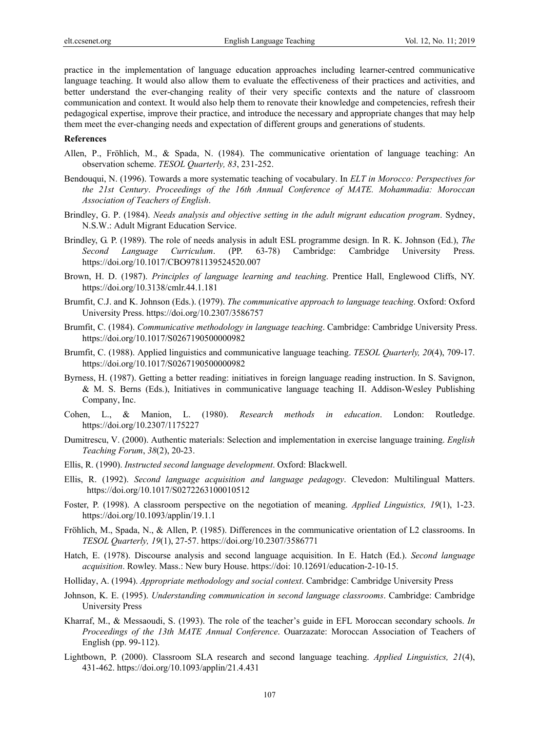practice in the implementation of language education approaches including learner-centred communicative language teaching. It would also allow them to evaluate the effectiveness of their practices and activities, and better understand the ever-changing reality of their very specific contexts and the nature of classroom communication and context. It would also help them to renovate their knowledge and competencies, refresh their pedagogical expertise, improve their practice, and introduce the necessary and appropriate changes that may help them meet the ever-changing needs and expectation of different groups and generations of students.

#### **References**

- Allen, P., Fröhlich, M., & Spada, N. (1984). The communicative orientation of language teaching: An observation scheme. *TESOL Quarterly, 83*, 231-252.
- Bendouqui, N. (1996). Towards a more systematic teaching of vocabulary. In *ELT in Morocco: Perspectives for the 21st Century*. *Proceedings of the 16th Annual Conference of MATE. Mohammadia: Moroccan Association of Teachers of English*.
- Brindley, G. P. (1984). *Needs analysis and objective setting in the adult migrant education program*. Sydney, N.S.W.: Adult Migrant Education Service.
- Brindley, G. P. (1989). The role of needs analysis in adult ESL programme design. In R. K. Johnson (Ed.), *The Second Language Curriculum*. (PP. 63-78) Cambridge: Cambridge University Press. https://doi.org/10.1017/CBO9781139524520.007
- Brown, H. D. (1987). *Principles of language learning and teaching*. Prentice Hall, Englewood Cliffs, NY. https://doi.org/10.3138/cmlr.44.1.181
- Brumfit, C.J. and K. Johnson (Eds.). (1979). *The communicative approach to language teaching*. Oxford: Oxford University Press. https://doi.org/10.2307/3586757
- Brumfit, C. (1984). *Communicative methodology in language teaching*. Cambridge: Cambridge University Press. https://doi.org/10.1017/S0267190500000982
- Brumfit, C. (1988). Applied linguistics and communicative language teaching. *TESOL Quarterly, 20*(4), 709-17. https://doi.org/10.1017/S0267190500000982
- Byrness, H. (1987). Getting a better reading: initiatives in foreign language reading instruction. In S. Savignon, & M. S. Berns (Eds.), Initiatives in communicative language teaching II. Addison-Wesley Publishing Company, Inc.
- Cohen, L., & Manion, L. (1980). *Research methods in education*. London: Routledge. https://doi.org/10.2307/1175227
- Dumitrescu, V. (2000). Authentic materials: Selection and implementation in exercise language training. *English Teaching Forum*, *38*(2), 20-23.
- Ellis, R. (1990). *Instructed second language development*. Oxford: Blackwell.
- Ellis, R. (1992). *Second language acquisition and language pedagogy*. Clevedon: Multilingual Matters. https://doi.org/10.1017/S0272263100010512
- Foster, P. (1998). A classroom perspective on the negotiation of meaning. *Applied Linguistics, 19*(1), 1-23. https://doi.org/10.1093/applin/19.1.1
- Fröhlich, M., Spada, N., & Allen, P. (1985). Differences in the communicative orientation of L2 classrooms. In *TESOL Quarterly, 19*(1), 27-57. https://doi.org/10.2307/3586771
- Hatch, E. (1978). Discourse analysis and second language acquisition. In E. Hatch (Ed.). *Second language acquisition*. Rowley. Mass.: New bury House. https://doi: 10.12691/education-2-10-15.
- Holliday, A. (1994). *Appropriate methodology and social context*. Cambridge: Cambridge University Press
- Johnson, K. E. (1995). *Understanding communication in second language classrooms*. Cambridge: Cambridge University Press
- Kharraf, M., & Messaoudi, S. (1993). The role of the teacher's guide in EFL Moroccan secondary schools. *In Proceedings of the 13th MATE Annual Conference*. Ouarzazate: Moroccan Association of Teachers of English (pp. 99-112).
- Lightbown, P. (2000). Classroom SLA research and second language teaching. *Applied Linguistics, 21*(4), 431-462. https://doi.org/10.1093/applin/21.4.431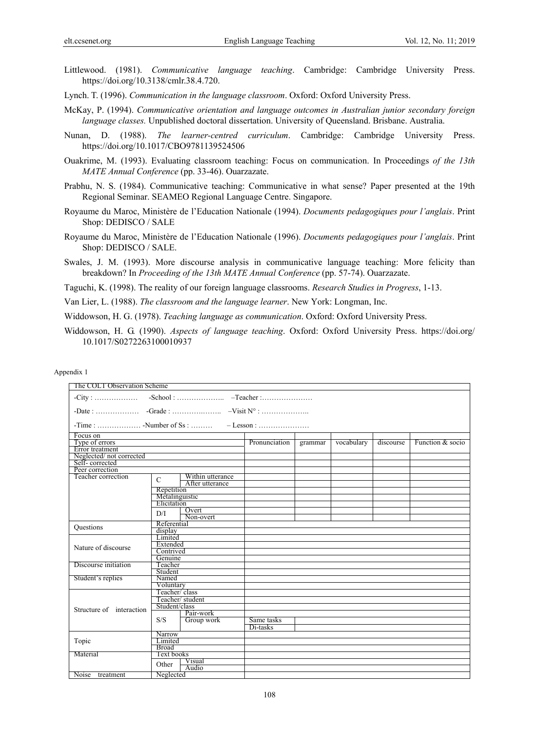- Littlewood. (1981). *Communicative language teaching*. Cambridge: Cambridge University Press. https://doi.org/10.3138/cmlr.38.4.720.
- Lynch. T. (1996). *Communication in the language classroom*. Oxford: Oxford University Press.
- McKay, P. (1994). *Communicative orientation and language outcomes in Australian junior secondary foreign language classes.* Unpublished doctoral dissertation. University of Queensland. Brisbane. Australia.
- Nunan, D. (1988). *The learner-centred curriculum*. Cambridge: Cambridge University Press. https://doi.org/10.1017/CBO9781139524506
- Ouakrime, M. (1993). Evaluating classroom teaching: Focus on communication. In Proceedings *of the 13th MATE Annual Conference* (pp. 33-46). Ouarzazate.
- Prabhu, N. S. (1984). Communicative teaching: Communicative in what sense? Paper presented at the 19th Regional Seminar. SEAMEO Regional Language Centre. Singapore.
- Royaume du Maroc, Ministère de l'Education Nationale (1994). *Documents pedagogiques pour l'anglais*. Print Shop: DEDISCO / SALE
- Royaume du Maroc, Ministère de l'Education Nationale (1996). *Documents pedagogiques pour l'anglais*. Print Shop: DEDISCO / SALE.
- Swales, J. M. (1993). More discourse analysis in communicative language teaching: More felicity than breakdown? In *Proceeding of the 13th MATE Annual Conference* (pp. 57-74). Ouarzazate.
- Taguchi, K. (1998). The reality of our foreign language classrooms. *Research Studies in Progress*, 1-13.
- Van Lier, L. (1988). *The classroom and the language learner*. New York: Longman, Inc.
- Widdowson, H. G. (1978). *Teaching language as communication*. Oxford: Oxford University Press.
- Widdowson, H. G. (1990). *Aspects of language teaching*. Oxford: Oxford University Press. https://doi.org/ 10.1017/S0272263100010937

#### Appendix 1

| The COLT Observation Scheme |                  |                  |               |         |            |           |                  |
|-----------------------------|------------------|------------------|---------------|---------|------------|-----------|------------------|
|                             |                  |                  |               |         |            |           |                  |
|                             |                  |                  |               |         |            |           |                  |
|                             |                  |                  |               |         |            |           |                  |
| Focus on                    |                  |                  |               |         |            |           |                  |
| Type of errors              |                  |                  | Pronunciation | grammar | vocabulary | discourse | Function & socio |
| Error treatment             |                  |                  |               |         |            |           |                  |
| Neglected/not corrected     |                  |                  |               |         |            |           |                  |
| Self-corrected              |                  |                  |               |         |            |           |                  |
| Peer correction             |                  |                  |               |         |            |           |                  |
| Teacher correction          | $\mathbf C$      | Within utterance |               |         |            |           |                  |
|                             |                  | After utterance  |               |         |            |           |                  |
|                             | Repetition       |                  |               |         |            |           |                  |
|                             | Metalinguistic   |                  |               |         |            |           |                  |
|                             | Elicitation      |                  |               |         |            |           |                  |
|                             | D/I              | Overt            |               |         |            |           |                  |
|                             |                  | Non-overt        |               |         |            |           |                  |
| <b>Questions</b>            | Referential      |                  |               |         |            |           |                  |
|                             | display          |                  |               |         |            |           |                  |
|                             | Limited          |                  |               |         |            |           |                  |
| Nature of discourse         | Extended         |                  |               |         |            |           |                  |
|                             | Contrived        |                  |               |         |            |           |                  |
|                             | Genuine          |                  |               |         |            |           |                  |
| Discourse initiation        | Teacher          |                  |               |         |            |           |                  |
|                             | Student          |                  |               |         |            |           |                  |
| Student's replies<br>Named  |                  |                  |               |         |            |           |                  |
|                             | Voluntary        |                  |               |         |            |           |                  |
|                             | Teacher/class    |                  |               |         |            |           |                  |
|                             | Teacher/student  |                  |               |         |            |           |                  |
| Structure of interaction    | Student/class    |                  |               |         |            |           |                  |
|                             |                  | Pair-work        |               |         |            |           |                  |
|                             | S/S              | Group work       | Same tasks    |         |            |           |                  |
|                             |                  |                  | Di-tasks      |         |            |           |                  |
|                             | Narrow           |                  |               |         |            |           |                  |
| Topic                       |                  |                  |               |         |            |           |                  |
|                             | Limited<br>Broad |                  |               |         |            |           |                  |
| Text books<br>Material      |                  |                  |               |         |            |           |                  |
|                             |                  | Visual           |               |         |            |           |                  |
|                             | Other            | Audio            |               |         |            |           |                  |
| Noise treatment             | Neglected        |                  |               |         |            |           |                  |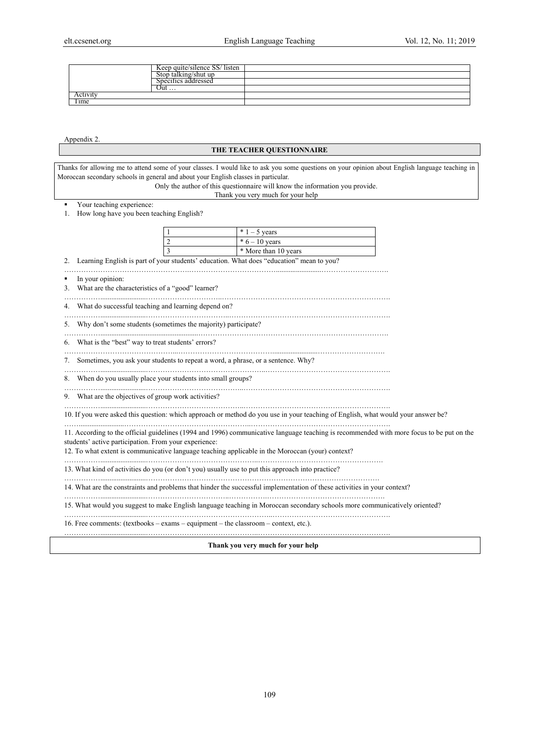|        | Keep quite/silence SS/<br>' listen |  |
|--------|------------------------------------|--|
|        | ) talkıng/shut up<br>-tor          |  |
|        | Specifics addressed                |  |
|        | Out                                |  |
| ACUVIL |                                    |  |
| Time   |                                    |  |

Appendix 2.

## **THE TEACHER QUESTIONNAIRE**

Thanks for allowing me to attend some of your classes. I would like to ask you some questions on your opinion about English language teaching in Moroccan secondary schools in general and about your English classes in particular.

Only the author of this questionnaire will know the information you provide.

Thank you very much for your help

Your teaching experience:

1. How long have you been teaching English?

|  | $*1 - 5$ years       |
|--|----------------------|
|  | $*6 - 10$ years      |
|  | * More than 10 years |

2. Learning English is part of your students' education. What does "education" mean to you?

…………………………………………….……………………………… ................ ......... ………………………. In your opinion:

3. What are the characteristics of a "good" learner?

…………….........................…………………………..…………………………………………………………….

4. What do successful teaching and learning depend on? …………….........................……………………………..………………………………………………………….

5. Why don't some students (sometimes the majority) participate?

……………......................................................……………………………………………………………………. 6. What is the "best" way to treat students' errors?

………………………………………...………………………………… ......... ................ ……………………….

7. Sometimes, you ask your students to repeat a word, a phrase, or a sentence. Why?

…………….........................…………………………………………..……………………………………………. 8. When do you usually place your students into small groups?

…………… ................. ........ …………………………………..…………………………………………………….

9. What are the objectives of group work activities?

10. If you were asked this question: which approach or method do you use in your teaching of English, what would your answer be? …….........................……………………………………………..………………………………………………….

11. According to the official guidelines (1994 and 1996) communicative language teaching is recommended with more focus to be put on the students' active participation. From your experience:

12. To what extent is communicative language teaching applicable in the Moroccan (your) context?

…………….........................………………………………………..……………………………………………. 13. What kind of activities do you (or don't you) usually use to put this approach into practice?

…………….........................…………………………………………………………………………………….

14. What are the constraints and problems that hinder the successful implementation of these activities in your context?

…………… ........................ . ……………………………..…………….………………………………………….

15. What would you suggest to make English language teaching in Moroccan secondary schools more communicatively oriented?

…………….........................……………………………………………..………………………………………….

16. Free comments: (textbooks – exams – equipment – the classroom – context, etc.).

…………….........................………………………………………..……………………………………………….

**Thank you very much for your help**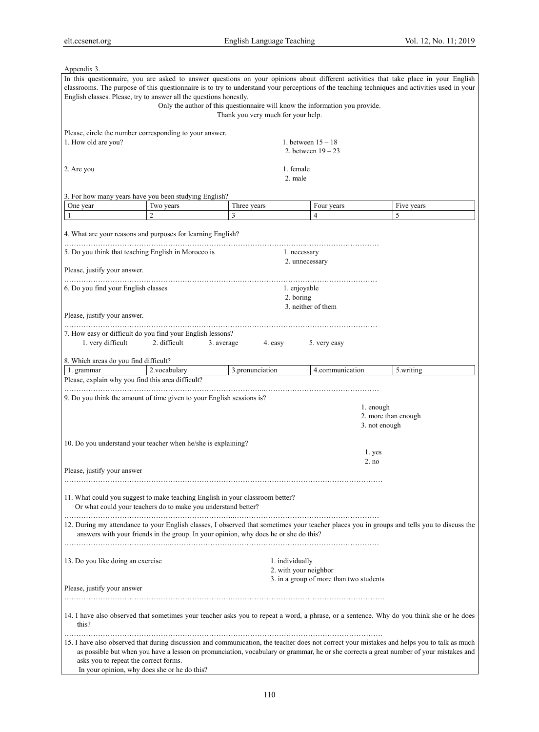| Appendix 3.                                                                     |                                                                                      |                                    |                       |                                         |                     |                                                                                                                                                                                                                                                                                       |
|---------------------------------------------------------------------------------|--------------------------------------------------------------------------------------|------------------------------------|-----------------------|-----------------------------------------|---------------------|---------------------------------------------------------------------------------------------------------------------------------------------------------------------------------------------------------------------------------------------------------------------------------------|
| English classes. Please, try to answer all the questions honestly.              | Only the author of this questionnaire will know the information you provide.         |                                    |                       |                                         |                     | In this questionnaire, you are asked to answer questions on your opinions about different activities that take place in your English<br>classrooms. The purpose of this questionnaire is to try to understand your perceptions of the teaching techniques and activities used in your |
|                                                                                 |                                                                                      | Thank you very much for your help. |                       |                                         |                     |                                                                                                                                                                                                                                                                                       |
| Please, circle the number corresponding to your answer.<br>1. How old are you?  |                                                                                      |                                    |                       | 1. between $15 - 18$                    |                     |                                                                                                                                                                                                                                                                                       |
|                                                                                 |                                                                                      |                                    |                       | 2. between $19 - 23$                    |                     |                                                                                                                                                                                                                                                                                       |
| 2. Are you                                                                      |                                                                                      |                                    | 1. female<br>2. male  |                                         |                     |                                                                                                                                                                                                                                                                                       |
| 3. For how many years have you been studying English?                           |                                                                                      |                                    |                       |                                         |                     |                                                                                                                                                                                                                                                                                       |
| One year                                                                        | Two years                                                                            | Three years                        |                       | Four years                              |                     | Five years                                                                                                                                                                                                                                                                            |
| -1                                                                              | $\overline{c}$                                                                       | 3                                  |                       | 4                                       |                     | 5                                                                                                                                                                                                                                                                                     |
| 4. What are your reasons and purposes for learning English?                     |                                                                                      |                                    |                       |                                         |                     |                                                                                                                                                                                                                                                                                       |
| 5. Do you think that teaching English in Morocco is                             |                                                                                      |                                    | 1. necessary          |                                         |                     |                                                                                                                                                                                                                                                                                       |
| Please, justify your answer.                                                    |                                                                                      |                                    | 2. unnecessary        |                                         |                     |                                                                                                                                                                                                                                                                                       |
|                                                                                 |                                                                                      |                                    |                       |                                         |                     |                                                                                                                                                                                                                                                                                       |
| 6. Do you find your English classes                                             |                                                                                      |                                    | 1. enjoyable          |                                         |                     |                                                                                                                                                                                                                                                                                       |
|                                                                                 |                                                                                      |                                    | 2. boring             | 3. neither of them                      |                     |                                                                                                                                                                                                                                                                                       |
| Please, justify your answer.                                                    |                                                                                      |                                    |                       |                                         |                     |                                                                                                                                                                                                                                                                                       |
|                                                                                 |                                                                                      |                                    |                       |                                         |                     |                                                                                                                                                                                                                                                                                       |
| 7. How easy or difficult do you find your English lessons?<br>1. very difficult | 2. difficult<br>3. average                                                           | 4. easy                            |                       | 5. very easy                            |                     |                                                                                                                                                                                                                                                                                       |
| 8. Which areas do you find difficult?                                           |                                                                                      |                                    |                       |                                         |                     |                                                                                                                                                                                                                                                                                       |
| 1. grammar                                                                      | 2.vocabulary                                                                         | 3.pronunciation                    |                       | 4.communication                         |                     | 5.writing                                                                                                                                                                                                                                                                             |
| Please, explain why you find this area difficult?                               |                                                                                      |                                    |                       |                                         |                     |                                                                                                                                                                                                                                                                                       |
|                                                                                 |                                                                                      |                                    |                       |                                         |                     |                                                                                                                                                                                                                                                                                       |
| 9. Do you think the amount of time given to your English sessions is?           |                                                                                      |                                    |                       |                                         | 1. enough           |                                                                                                                                                                                                                                                                                       |
|                                                                                 |                                                                                      |                                    |                       |                                         | 2. more than enough |                                                                                                                                                                                                                                                                                       |
|                                                                                 |                                                                                      |                                    |                       |                                         | 3. not enough       |                                                                                                                                                                                                                                                                                       |
|                                                                                 |                                                                                      |                                    |                       |                                         |                     |                                                                                                                                                                                                                                                                                       |
| 10. Do you understand your teacher when he/she is explaining?                   |                                                                                      |                                    |                       |                                         |                     |                                                                                                                                                                                                                                                                                       |
|                                                                                 |                                                                                      |                                    |                       |                                         | 1. yes              |                                                                                                                                                                                                                                                                                       |
| Please, justify your answer                                                     |                                                                                      |                                    |                       |                                         | 2. no               |                                                                                                                                                                                                                                                                                       |
|                                                                                 |                                                                                      |                                    |                       |                                         |                     |                                                                                                                                                                                                                                                                                       |
| 11. What could you suggest to make teaching English in your classroom better?   | Or what could your teachers do to make you understand better?                        |                                    |                       |                                         |                     |                                                                                                                                                                                                                                                                                       |
|                                                                                 | answers with your friends in the group. In your opinion, why does he or she do this? |                                    |                       |                                         |                     | 12. During my attendance to your English classes, I observed that sometimes your teacher places you in groups and tells you to discuss the                                                                                                                                            |
| 13. Do you like doing an exercise                                               |                                                                                      |                                    | 1. individually       |                                         |                     |                                                                                                                                                                                                                                                                                       |
|                                                                                 |                                                                                      |                                    | 2. with your neighbor |                                         |                     |                                                                                                                                                                                                                                                                                       |
|                                                                                 |                                                                                      |                                    |                       | 3. in a group of more than two students |                     |                                                                                                                                                                                                                                                                                       |
| Please, justify your answer                                                     |                                                                                      |                                    |                       |                                         |                     |                                                                                                                                                                                                                                                                                       |
| this?                                                                           |                                                                                      |                                    |                       |                                         |                     | 14. I have also observed that sometimes your teacher asks you to repeat a word, a phrase, or a sentence. Why do you think she or he does                                                                                                                                              |
| asks you to repeat the correct forms.                                           |                                                                                      |                                    |                       |                                         |                     | 15. I have also observed that during discussion and communication, the teacher does not correct your mistakes and helps you to talk as much<br>as possible but when you have a lesson on pronunciation, vocabulary or grammar, he or she corrects a great number of your mistakes and |
| In your opinion, why does she or he do this?                                    |                                                                                      |                                    |                       |                                         |                     |                                                                                                                                                                                                                                                                                       |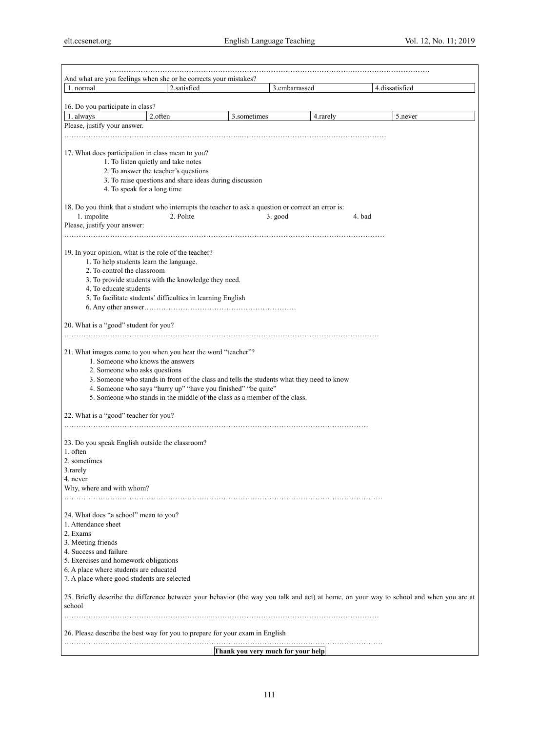| And what are you feelings when she or he corrects your mistakes?                                                                            |             |             |                                   |        |                |
|---------------------------------------------------------------------------------------------------------------------------------------------|-------------|-------------|-----------------------------------|--------|----------------|
| 1. normal                                                                                                                                   | 2.satisfied |             | 3.embarrassed                     |        | 4.dissatisfied |
| 16. Do you participate in class?                                                                                                            |             |             |                                   |        |                |
| 1. always<br>2.often                                                                                                                        |             | 3.sometimes | 4. rarely                         |        | 5.never        |
| Please, justify your answer.                                                                                                                |             |             |                                   |        |                |
|                                                                                                                                             |             |             |                                   |        |                |
|                                                                                                                                             |             |             |                                   |        |                |
| 17. What does participation in class mean to you?                                                                                           |             |             |                                   |        |                |
| 1. To listen quietly and take notes                                                                                                         |             |             |                                   |        |                |
| 2. To answer the teacher's questions                                                                                                        |             |             |                                   |        |                |
| 3. To raise questions and share ideas during discussion                                                                                     |             |             |                                   |        |                |
| 4. To speak for a long time                                                                                                                 |             |             |                                   |        |                |
|                                                                                                                                             |             |             |                                   |        |                |
| 18. Do you think that a student who interrupts the teacher to ask a question or correct an error is:                                        |             |             |                                   |        |                |
| 1. impolite                                                                                                                                 | 2. Polite   |             | 3. good                           | 4. bad |                |
| Please, justify your answer:                                                                                                                |             |             |                                   |        |                |
|                                                                                                                                             |             |             |                                   |        |                |
| 19. In your opinion, what is the role of the teacher?                                                                                       |             |             |                                   |        |                |
| 1. To help students learn the language.                                                                                                     |             |             |                                   |        |                |
| 2. To control the classroom                                                                                                                 |             |             |                                   |        |                |
| 3. To provide students with the knowledge they need.                                                                                        |             |             |                                   |        |                |
| 4. To educate students                                                                                                                      |             |             |                                   |        |                |
| 5. To facilitate students' difficulties in learning English                                                                                 |             |             |                                   |        |                |
|                                                                                                                                             |             |             |                                   |        |                |
|                                                                                                                                             |             |             |                                   |        |                |
| 20. What is a "good" student for you?                                                                                                       |             |             |                                   |        |                |
|                                                                                                                                             |             |             |                                   |        |                |
|                                                                                                                                             |             |             |                                   |        |                |
| 21. What images come to you when you hear the word "teacher"?                                                                               |             |             |                                   |        |                |
| 1. Someone who knows the answers                                                                                                            |             |             |                                   |        |                |
| 2. Someone who asks questions                                                                                                               |             |             |                                   |        |                |
| 3. Someone who stands in front of the class and tells the students what they need to know                                                   |             |             |                                   |        |                |
| 4. Someone who says "hurry up" "have you finished" "be quite"<br>5. Someone who stands in the middle of the class as a member of the class. |             |             |                                   |        |                |
|                                                                                                                                             |             |             |                                   |        |                |
| 22. What is a "good" teacher for you?                                                                                                       |             |             |                                   |        |                |
|                                                                                                                                             |             |             |                                   |        |                |
|                                                                                                                                             |             |             |                                   |        |                |
| 23. Do you speak English outside the classroom?                                                                                             |             |             |                                   |        |                |
| 1. often                                                                                                                                    |             |             |                                   |        |                |
| 2. sometimes                                                                                                                                |             |             |                                   |        |                |
| 3. rarely                                                                                                                                   |             |             |                                   |        |                |
| 4. never                                                                                                                                    |             |             |                                   |        |                |
| Why, where and with whom?                                                                                                                   |             |             |                                   |        |                |
|                                                                                                                                             |             |             |                                   |        |                |
|                                                                                                                                             |             |             |                                   |        |                |
| 24. What does "a school" mean to you?<br>1. Attendance sheet                                                                                |             |             |                                   |        |                |
| 2. Exams                                                                                                                                    |             |             |                                   |        |                |
| 3. Meeting friends                                                                                                                          |             |             |                                   |        |                |
| 4. Success and failure                                                                                                                      |             |             |                                   |        |                |
| 5. Exercises and homework obligations                                                                                                       |             |             |                                   |        |                |
| 6. A place where students are educated                                                                                                      |             |             |                                   |        |                |
| 7. A place where good students are selected                                                                                                 |             |             |                                   |        |                |
|                                                                                                                                             |             |             |                                   |        |                |
| 25. Briefly describe the difference between your behavior (the way you talk and act) at home, on your way to school and when you are at     |             |             |                                   |        |                |
| school                                                                                                                                      |             |             |                                   |        |                |
|                                                                                                                                             |             |             |                                   |        |                |
|                                                                                                                                             |             |             |                                   |        |                |
| 26. Please describe the best way for you to prepare for your exam in English                                                                |             |             |                                   |        |                |
|                                                                                                                                             |             |             |                                   |        |                |
|                                                                                                                                             |             |             | Thank you very much for your help |        |                |